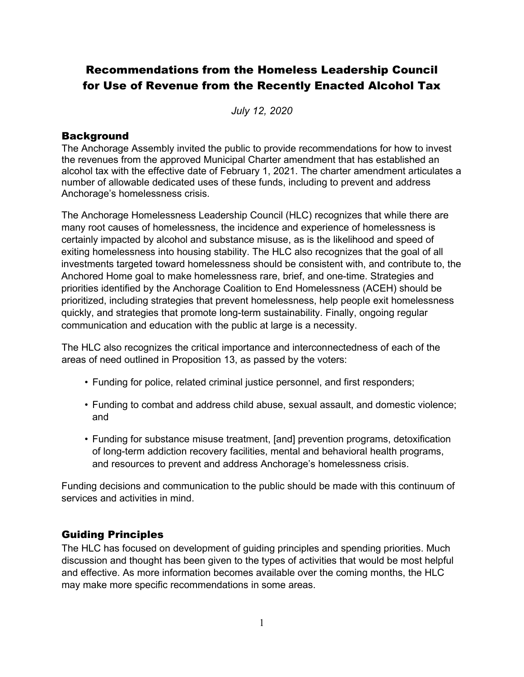# Recommendations from the Homeless Leadership Council for Use of Revenue from the Recently Enacted Alcohol Tax

*July 12, 2020*

# **Background**

The Anchorage Assembly invited the public to provide recommendations for how to invest the revenues from the approved Municipal Charter amendment that has established an alcohol tax with the effective date of February 1, 2021. The charter amendment articulates a number of allowable dedicated uses of these funds, including to prevent and address Anchorage's homelessness crisis.

The Anchorage Homelessness Leadership Council (HLC) recognizes that while there are many root causes of homelessness, the incidence and experience of homelessness is certainly impacted by alcohol and substance misuse, as is the likelihood and speed of exiting homelessness into housing stability. The HLC also recognizes that the goal of all investments targeted toward homelessness should be consistent with, and contribute to, the Anchored Home goal to make homelessness rare, brief, and one-time. Strategies and priorities identified by the Anchorage Coalition to End Homelessness (ACEH) should be prioritized, including strategies that prevent homelessness, help people exit homelessness quickly, and strategies that promote long-term sustainability. Finally, ongoing regular communication and education with the public at large is a necessity.

The HLC also recognizes the critical importance and interconnectedness of each of the areas of need outlined in Proposition 13, as passed by the voters:

- Funding for police, related criminal justice personnel, and first responders;
- Funding to combat and address child abuse, sexual assault, and domestic violence; and
- Funding for substance misuse treatment, [and] prevention programs, detoxification of long-term addiction recovery facilities, mental and behavioral health programs, and resources to prevent and address Anchorage's homelessness crisis.

Funding decisions and communication to the public should be made with this continuum of services and activities in mind.

# Guiding Principles

The HLC has focused on development of guiding principles and spending priorities. Much discussion and thought has been given to the types of activities that would be most helpful and effective. As more information becomes available over the coming months, the HLC may make more specific recommendations in some areas.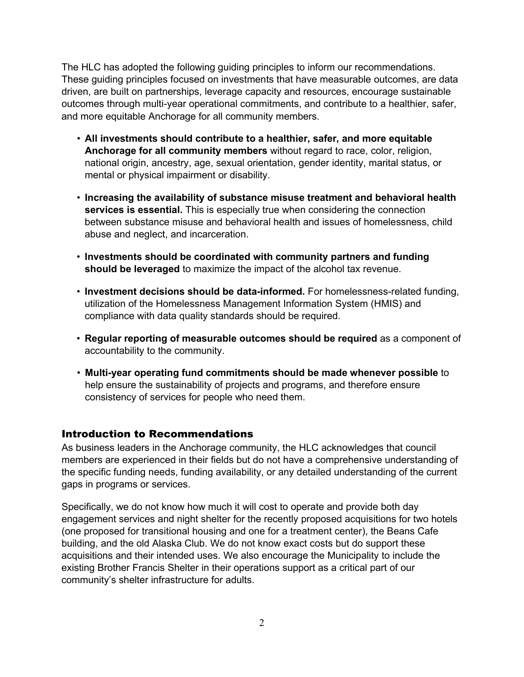The HLC has adopted the following guiding principles to inform our recommendations. These guiding principles focused on investments that have measurable outcomes, are data driven, are built on partnerships, leverage capacity and resources, encourage sustainable outcomes through multi-year operational commitments, and contribute to a healthier, safer, and more equitable Anchorage for all community members.

- **All investments should contribute to a healthier, safer, and more equitable Anchorage for all community members** without regard to race, color, religion, national origin, ancestry, age, sexual orientation, gender identity, marital status, or mental or physical impairment or disability.
- **Increasing the availability of substance misuse treatment and behavioral health services is essential.** This is especially true when considering the connection between substance misuse and behavioral health and issues of homelessness, child abuse and neglect, and incarceration.
- **Investments should be coordinated with community partners and funding should be leveraged** to maximize the impact of the alcohol tax revenue.
- **Investment decisions should be data-informed.** For homelessness-related funding, utilization of the Homelessness Management Information System (HMIS) and compliance with data quality standards should be required.
- **Regular reporting of measurable outcomes should be required** as a component of accountability to the community.
- **Multi-year operating fund commitments should be made whenever possible** to help ensure the sustainability of projects and programs, and therefore ensure consistency of services for people who need them.

# Introduction to Recommendations

As business leaders in the Anchorage community, the HLC acknowledges that council members are experienced in their fields but do not have a comprehensive understanding of the specific funding needs, funding availability, or any detailed understanding of the current gaps in programs or services.

Specifically, we do not know how much it will cost to operate and provide both day engagement services and night shelter for the recently proposed acquisitions for two hotels (one proposed for transitional housing and one for a treatment center), the Beans Cafe building, and the old Alaska Club. We do not know exact costs but do support these acquisitions and their intended uses. We also encourage the Municipality to include the existing Brother Francis Shelter in their operations support as a critical part of our community's shelter infrastructure for adults.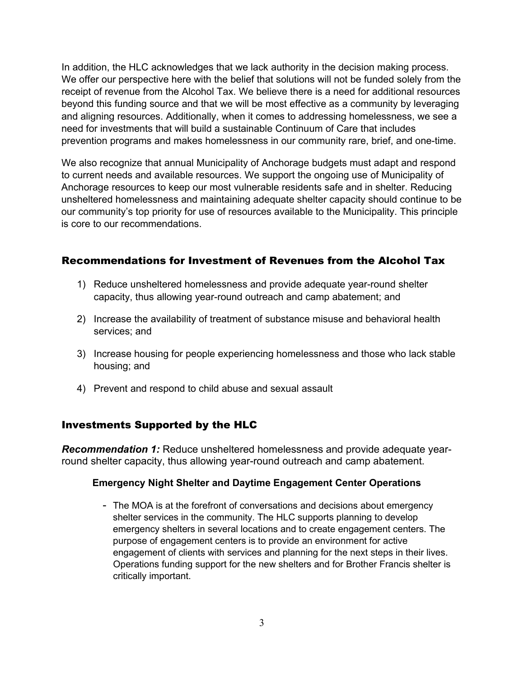In addition, the HLC acknowledges that we lack authority in the decision making process. We offer our perspective here with the belief that solutions will not be funded solely from the receipt of revenue from the Alcohol Tax. We believe there is a need for additional resources beyond this funding source and that we will be most effective as a community by leveraging and aligning resources. Additionally, when it comes to addressing homelessness, we see a need for investments that will build a sustainable Continuum of Care that includes prevention programs and makes homelessness in our community rare, brief, and one-time.

We also recognize that annual Municipality of Anchorage budgets must adapt and respond to current needs and available resources. We support the ongoing use of Municipality of Anchorage resources to keep our most vulnerable residents safe and in shelter. Reducing unsheltered homelessness and maintaining adequate shelter capacity should continue to be our community's top priority for use of resources available to the Municipality. This principle is core to our recommendations.

# Recommendations for Investment of Revenues from the Alcohol Tax

- 1) Reduce unsheltered homelessness and provide adequate year-round shelter capacity, thus allowing year-round outreach and camp abatement; and
- 2) Increase the availability of treatment of substance misuse and behavioral health services; and
- 3) Increase housing for people experiencing homelessness and those who lack stable housing; and
- 4) Prevent and respond to child abuse and sexual assault

# Investments Supported by the HLC

*Recommendation 1:* Reduce unsheltered homelessness and provide adequate yearround shelter capacity, thus allowing year-round outreach and camp abatement.

# **Emergency Night Shelter and Daytime Engagement Center Operations**

- The MOA is at the forefront of conversations and decisions about emergency shelter services in the community. The HLC supports planning to develop emergency shelters in several locations and to create engagement centers. The purpose of engagement centers is to provide an environment for active engagement of clients with services and planning for the next steps in their lives. Operations funding support for the new shelters and for Brother Francis shelter is critically important.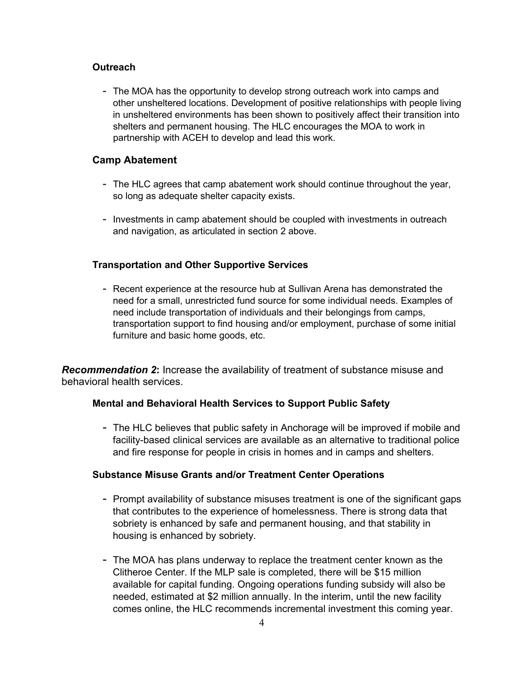#### **Outreach**

- The MOA has the opportunity to develop strong outreach work into camps and other unsheltered locations. Development of positive relationships with people living in unsheltered environments has been shown to positively affect their transition into shelters and permanent housing. The HLC encourages the MOA to work in partnership with ACEH to develop and lead this work.

#### **Camp Abatement**

- The HLC agrees that camp abatement work should continue throughout the year, so long as adequate shelter capacity exists.
- Investments in camp abatement should be coupled with investments in outreach and navigation, as articulated in section 2 above.

#### **Transportation and Other Supportive Services**

- Recent experience at the resource hub at Sullivan Arena has demonstrated the need for a small, unrestricted fund source for some individual needs. Examples of need include transportation of individuals and their belongings from camps, transportation support to find housing and/or employment, purchase of some initial furniture and basic home goods, etc.

*Recommendation 2***:** Increase the availability of treatment of substance misuse and behavioral health services.

#### **Mental and Behavioral Health Services to Support Public Safety**

- The HLC believes that public safety in Anchorage will be improved if mobile and facility-based clinical services are available as an alternative to traditional police and fire response for people in crisis in homes and in camps and shelters.

#### **Substance Misuse Grants and/or Treatment Center Operations**

- Prompt availability of substance misuses treatment is one of the significant gaps that contributes to the experience of homelessness. There is strong data that sobriety is enhanced by safe and permanent housing, and that stability in housing is enhanced by sobriety.
- The MOA has plans underway to replace the treatment center known as the Clitheroe Center. If the MLP sale is completed, there will be \$15 million available for capital funding. Ongoing operations funding subsidy will also be needed, estimated at \$2 million annually. In the interim, until the new facility comes online, the HLC recommends incremental investment this coming year.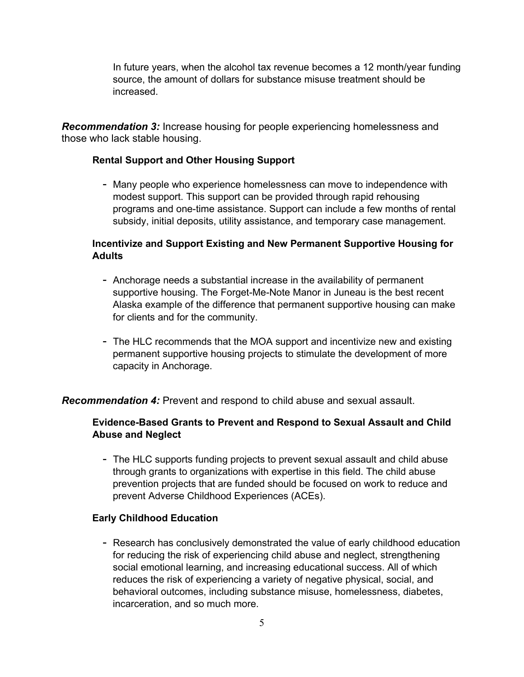In future years, when the alcohol tax revenue becomes a 12 month/year funding source, the amount of dollars for substance misuse treatment should be increased.

*Recommendation 3:* Increase housing for people experiencing homelessness and those who lack stable housing.

### **Rental Support and Other Housing Support**

- Many people who experience homelessness can move to independence with modest support. This support can be provided through rapid rehousing programs and one-time assistance. Support can include a few months of rental subsidy, initial deposits, utility assistance, and temporary case management.

# **Incentivize and Support Existing and New Permanent Supportive Housing for Adults**

- Anchorage needs a substantial increase in the availability of permanent supportive housing. The Forget-Me-Note Manor in Juneau is the best recent Alaska example of the difference that permanent supportive housing can make for clients and for the community.
- The HLC recommends that the MOA support and incentivize new and existing permanent supportive housing projects to stimulate the development of more capacity in Anchorage.

# *Recommendation 4:* Prevent and respond to child abuse and sexual assault.

# **Evidence-Based Grants to Prevent and Respond to Sexual Assault and Child Abuse and Neglect**

- The HLC supports funding projects to prevent sexual assault and child abuse through grants to organizations with expertise in this field. The child abuse prevention projects that are funded should be focused on work to reduce and prevent Adverse Childhood Experiences (ACEs).

#### **Early Childhood Education**

- Research has conclusively demonstrated the value of early childhood education for reducing the risk of experiencing child abuse and neglect, strengthening social emotional learning, and increasing educational success. All of which reduces the risk of experiencing a variety of negative physical, social, and behavioral outcomes, including substance misuse, homelessness, diabetes, incarceration, and so much more.